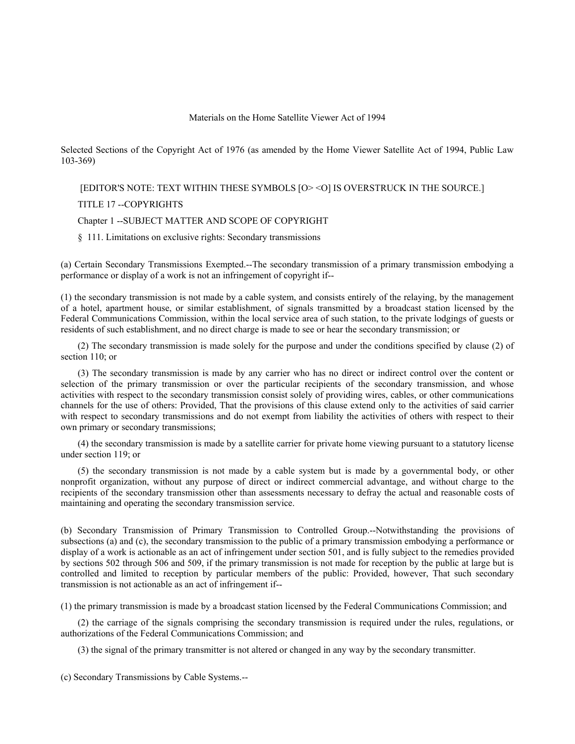## Materials on the Home Satellite Viewer Act of 1994

Selected Sections of the Copyright Act of 1976 (as amended by the Home Viewer Satellite Act of 1994, Public Law 103-369)

[EDITOR'S NOTE: TEXT WITHIN THESE SYMBOLS [O> <O] IS OVERSTRUCK IN THE SOURCE.]

TITLE 17 --COPYRIGHTS

## Chapter 1 --SUBJECT MATTER AND SCOPE OF COPYRIGHT

## § 111. Limitations on exclusive rights: Secondary transmissions

(a) Certain Secondary Transmissions Exempted.--The secondary transmission of a primary transmission embodying a performance or display of a work is not an infringement of copyright if--

(1) the secondary transmission is not made by a cable system, and consists entirely of the relaying, by the management of a hotel, apartment house, or similar establishment, of signals transmitted by a broadcast station licensed by the Federal Communications Commission, within the local service area of such station, to the private lodgings of guests or residents of such establishment, and no direct charge is made to see or hear the secondary transmission; or

(2) The secondary transmission is made solely for the purpose and under the conditions specified by clause (2) of section 110; or

(3) The secondary transmission is made by any carrier who has no direct or indirect control over the content or selection of the primary transmission or over the particular recipients of the secondary transmission, and whose activities with respect to the secondary transmission consist solely of providing wires, cables, or other communications channels for the use of others: Provided, That the provisions of this clause extend only to the activities of said carrier with respect to secondary transmissions and do not exempt from liability the activities of others with respect to their own primary or secondary transmissions;

(4) the secondary transmission is made by a satellite carrier for private home viewing pursuant to a statutory license under section 119; or

(5) the secondary transmission is not made by a cable system but is made by a governmental body, or other nonprofit organization, without any purpose of direct or indirect commercial advantage, and without charge to the recipients of the secondary transmission other than assessments necessary to defray the actual and reasonable costs of maintaining and operating the secondary transmission service.

(b) Secondary Transmission of Primary Transmission to Controlled Group.--Notwithstanding the provisions of subsections (a) and (c), the secondary transmission to the public of a primary transmission embodying a performance or display of a work is actionable as an act of infringement under section 501, and is fully subject to the remedies provided by sections 502 through 506 and 509, if the primary transmission is not made for reception by the public at large but is controlled and limited to reception by particular members of the public: Provided, however, That such secondary transmission is not actionable as an act of infringement if--

(1) the primary transmission is made by a broadcast station licensed by the Federal Communications Commission; and

(2) the carriage of the signals comprising the secondary transmission is required under the rules, regulations, or authorizations of the Federal Communications Commission; and

(3) the signal of the primary transmitter is not altered or changed in any way by the secondary transmitter.

(c) Secondary Transmissions by Cable Systems.--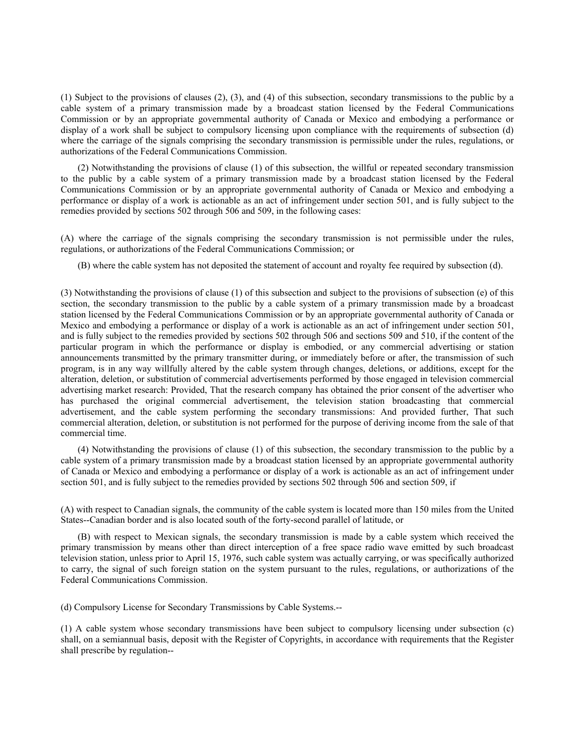(1) Subject to the provisions of clauses (2), (3), and (4) of this subsection, secondary transmissions to the public by a cable system of a primary transmission made by a broadcast station licensed by the Federal Communications Commission or by an appropriate governmental authority of Canada or Mexico and embodying a performance or display of a work shall be subject to compulsory licensing upon compliance with the requirements of subsection (d) where the carriage of the signals comprising the secondary transmission is permissible under the rules, regulations, or authorizations of the Federal Communications Commission.

(2) Notwithstanding the provisions of clause (1) of this subsection, the willful or repeated secondary transmission to the public by a cable system of a primary transmission made by a broadcast station licensed by the Federal Communications Commission or by an appropriate governmental authority of Canada or Mexico and embodying a performance or display of a work is actionable as an act of infringement under section 501, and is fully subject to the remedies provided by sections 502 through 506 and 509, in the following cases:

(A) where the carriage of the signals comprising the secondary transmission is not permissible under the rules, regulations, or authorizations of the Federal Communications Commission; or

(B) where the cable system has not deposited the statement of account and royalty fee required by subsection (d).

(3) Notwithstanding the provisions of clause (1) of this subsection and subject to the provisions of subsection (e) of this section, the secondary transmission to the public by a cable system of a primary transmission made by a broadcast station licensed by the Federal Communications Commission or by an appropriate governmental authority of Canada or Mexico and embodying a performance or display of a work is actionable as an act of infringement under section 501, and is fully subject to the remedies provided by sections 502 through 506 and sections 509 and 510, if the content of the particular program in which the performance or display is embodied, or any commercial advertising or station announcements transmitted by the primary transmitter during, or immediately before or after, the transmission of such program, is in any way willfully altered by the cable system through changes, deletions, or additions, except for the alteration, deletion, or substitution of commercial advertisements performed by those engaged in television commercial advertising market research: Provided, That the research company has obtained the prior consent of the advertiser who has purchased the original commercial advertisement, the television station broadcasting that commercial advertisement, and the cable system performing the secondary transmissions: And provided further, That such commercial alteration, deletion, or substitution is not performed for the purpose of deriving income from the sale of that commercial time.

(4) Notwithstanding the provisions of clause (1) of this subsection, the secondary transmission to the public by a cable system of a primary transmission made by a broadcast station licensed by an appropriate governmental authority of Canada or Mexico and embodying a performance or display of a work is actionable as an act of infringement under section 501, and is fully subject to the remedies provided by sections 502 through 506 and section 509, if

(A) with respect to Canadian signals, the community of the cable system is located more than 150 miles from the United States--Canadian border and is also located south of the forty-second parallel of latitude, or

(B) with respect to Mexican signals, the secondary transmission is made by a cable system which received the primary transmission by means other than direct interception of a free space radio wave emitted by such broadcast television station, unless prior to April 15, 1976, such cable system was actually carrying, or was specifically authorized to carry, the signal of such foreign station on the system pursuant to the rules, regulations, or authorizations of the Federal Communications Commission.

(d) Compulsory License for Secondary Transmissions by Cable Systems.--

(1) A cable system whose secondary transmissions have been subject to compulsory licensing under subsection (c) shall, on a semiannual basis, deposit with the Register of Copyrights, in accordance with requirements that the Register shall prescribe by regulation--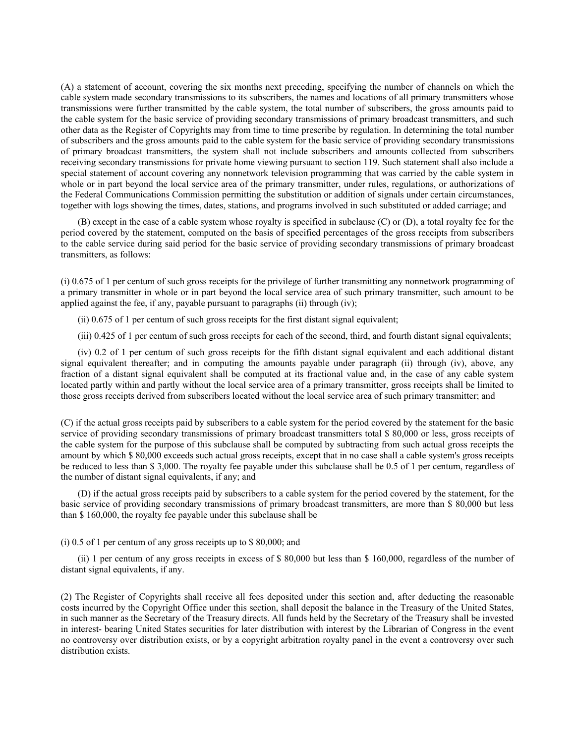(A) a statement of account, covering the six months next preceding, specifying the number of channels on which the cable system made secondary transmissions to its subscribers, the names and locations of all primary transmitters whose transmissions were further transmitted by the cable system, the total number of subscribers, the gross amounts paid to the cable system for the basic service of providing secondary transmissions of primary broadcast transmitters, and such other data as the Register of Copyrights may from time to time prescribe by regulation. In determining the total number of subscribers and the gross amounts paid to the cable system for the basic service of providing secondary transmissions of primary broadcast transmitters, the system shall not include subscribers and amounts collected from subscribers receiving secondary transmissions for private home viewing pursuant to section 119. Such statement shall also include a special statement of account covering any nonnetwork television programming that was carried by the cable system in whole or in part beyond the local service area of the primary transmitter, under rules, regulations, or authorizations of the Federal Communications Commission permitting the substitution or addition of signals under certain circumstances, together with logs showing the times, dates, stations, and programs involved in such substituted or added carriage; and

(B) except in the case of a cable system whose royalty is specified in subclause (C) or (D), a total royalty fee for the period covered by the statement, computed on the basis of specified percentages of the gross receipts from subscribers to the cable service during said period for the basic service of providing secondary transmissions of primary broadcast transmitters, as follows:

(i) 0.675 of 1 per centum of such gross receipts for the privilege of further transmitting any nonnetwork programming of a primary transmitter in whole or in part beyond the local service area of such primary transmitter, such amount to be applied against the fee, if any, payable pursuant to paragraphs (ii) through (iv);

(ii) 0.675 of 1 per centum of such gross receipts for the first distant signal equivalent;

(iii) 0.425 of 1 per centum of such gross receipts for each of the second, third, and fourth distant signal equivalents;

(iv) 0.2 of 1 per centum of such gross receipts for the fifth distant signal equivalent and each additional distant signal equivalent thereafter; and in computing the amounts payable under paragraph (ii) through (iv), above, any fraction of a distant signal equivalent shall be computed at its fractional value and, in the case of any cable system located partly within and partly without the local service area of a primary transmitter, gross receipts shall be limited to those gross receipts derived from subscribers located without the local service area of such primary transmitter; and

(C) if the actual gross receipts paid by subscribers to a cable system for the period covered by the statement for the basic service of providing secondary transmissions of primary broadcast transmitters total \$ 80,000 or less, gross receipts of the cable system for the purpose of this subclause shall be computed by subtracting from such actual gross receipts the amount by which \$ 80,000 exceeds such actual gross receipts, except that in no case shall a cable system's gross receipts be reduced to less than \$ 3,000. The royalty fee payable under this subclause shall be 0.5 of 1 per centum, regardless of the number of distant signal equivalents, if any; and

(D) if the actual gross receipts paid by subscribers to a cable system for the period covered by the statement, for the basic service of providing secondary transmissions of primary broadcast transmitters, are more than \$ 80,000 but less than \$ 160,000, the royalty fee payable under this subclause shall be

(i) 0.5 of 1 per centum of any gross receipts up to \$ 80,000; and

(ii) 1 per centum of any gross receipts in excess of \$ 80,000 but less than \$ 160,000, regardless of the number of distant signal equivalents, if any.

(2) The Register of Copyrights shall receive all fees deposited under this section and, after deducting the reasonable costs incurred by the Copyright Office under this section, shall deposit the balance in the Treasury of the United States, in such manner as the Secretary of the Treasury directs. All funds held by the Secretary of the Treasury shall be invested in interest- bearing United States securities for later distribution with interest by the Librarian of Congress in the event no controversy over distribution exists, or by a copyright arbitration royalty panel in the event a controversy over such distribution exists.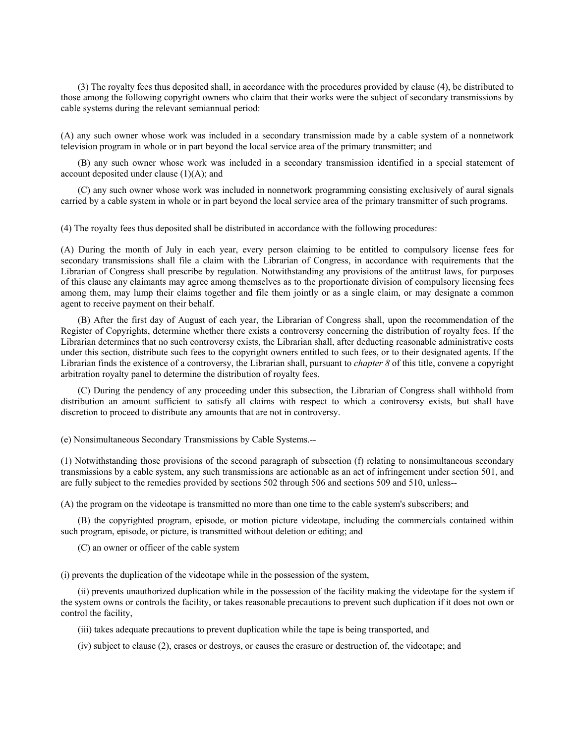(3) The royalty fees thus deposited shall, in accordance with the procedures provided by clause (4), be distributed to those among the following copyright owners who claim that their works were the subject of secondary transmissions by cable systems during the relevant semiannual period:

(A) any such owner whose work was included in a secondary transmission made by a cable system of a nonnetwork television program in whole or in part beyond the local service area of the primary transmitter; and

(B) any such owner whose work was included in a secondary transmission identified in a special statement of account deposited under clause (1)(A); and

(C) any such owner whose work was included in nonnetwork programming consisting exclusively of aural signals carried by a cable system in whole or in part beyond the local service area of the primary transmitter of such programs.

(4) The royalty fees thus deposited shall be distributed in accordance with the following procedures:

(A) During the month of July in each year, every person claiming to be entitled to compulsory license fees for secondary transmissions shall file a claim with the Librarian of Congress, in accordance with requirements that the Librarian of Congress shall prescribe by regulation. Notwithstanding any provisions of the antitrust laws, for purposes of this clause any claimants may agree among themselves as to the proportionate division of compulsory licensing fees among them, may lump their claims together and file them jointly or as a single claim, or may designate a common agent to receive payment on their behalf.

(B) After the first day of August of each year, the Librarian of Congress shall, upon the recommendation of the Register of Copyrights, determine whether there exists a controversy concerning the distribution of royalty fees. If the Librarian determines that no such controversy exists, the Librarian shall, after deducting reasonable administrative costs under this section, distribute such fees to the copyright owners entitled to such fees, or to their designated agents. If the Librarian finds the existence of a controversy, the Librarian shall, pursuant to *chapter 8* of this title, convene a copyright arbitration royalty panel to determine the distribution of royalty fees.

(C) During the pendency of any proceeding under this subsection, the Librarian of Congress shall withhold from distribution an amount sufficient to satisfy all claims with respect to which a controversy exists, but shall have discretion to proceed to distribute any amounts that are not in controversy.

(e) Nonsimultaneous Secondary Transmissions by Cable Systems.--

(1) Notwithstanding those provisions of the second paragraph of subsection (f) relating to nonsimultaneous secondary transmissions by a cable system, any such transmissions are actionable as an act of infringement under section 501, and are fully subject to the remedies provided by sections 502 through 506 and sections 509 and 510, unless--

(A) the program on the videotape is transmitted no more than one time to the cable system's subscribers; and

(B) the copyrighted program, episode, or motion picture videotape, including the commercials contained within such program, episode, or picture, is transmitted without deletion or editing; and

(C) an owner or officer of the cable system

(i) prevents the duplication of the videotape while in the possession of the system,

(ii) prevents unauthorized duplication while in the possession of the facility making the videotape for the system if the system owns or controls the facility, or takes reasonable precautions to prevent such duplication if it does not own or control the facility,

(iii) takes adequate precautions to prevent duplication while the tape is being transported, and

(iv) subject to clause (2), erases or destroys, or causes the erasure or destruction of, the videotape; and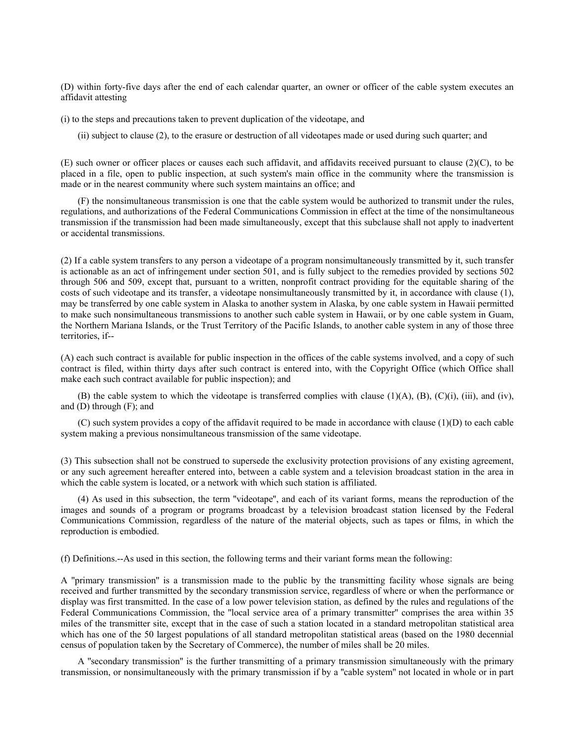(D) within forty-five days after the end of each calendar quarter, an owner or officer of the cable system executes an affidavit attesting

(i) to the steps and precautions taken to prevent duplication of the videotape, and

(ii) subject to clause (2), to the erasure or destruction of all videotapes made or used during such quarter; and

(E) such owner or officer places or causes each such affidavit, and affidavits received pursuant to clause (2)(C), to be placed in a file, open to public inspection, at such system's main office in the community where the transmission is made or in the nearest community where such system maintains an office; and

(F) the nonsimultaneous transmission is one that the cable system would be authorized to transmit under the rules, regulations, and authorizations of the Federal Communications Commission in effect at the time of the nonsimultaneous transmission if the transmission had been made simultaneously, except that this subclause shall not apply to inadvertent or accidental transmissions.

(2) If a cable system transfers to any person a videotape of a program nonsimultaneously transmitted by it, such transfer is actionable as an act of infringement under section 501, and is fully subject to the remedies provided by sections 502 through 506 and 509, except that, pursuant to a written, nonprofit contract providing for the equitable sharing of the costs of such videotape and its transfer, a videotape nonsimultaneously transmitted by it, in accordance with clause (1), may be transferred by one cable system in Alaska to another system in Alaska, by one cable system in Hawaii permitted to make such nonsimultaneous transmissions to another such cable system in Hawaii, or by one cable system in Guam, the Northern Mariana Islands, or the Trust Territory of the Pacific Islands, to another cable system in any of those three territories, if--

(A) each such contract is available for public inspection in the offices of the cable systems involved, and a copy of such contract is filed, within thirty days after such contract is entered into, with the Copyright Office (which Office shall make each such contract available for public inspection); and

(B) the cable system to which the videotape is transferred complies with clause (1)(A), (B), (C)(i), (iii), and (iv), and  $(D)$  through  $(F)$ ; and

(C) such system provides a copy of the affidavit required to be made in accordance with clause (1)(D) to each cable system making a previous nonsimultaneous transmission of the same videotape.

(3) This subsection shall not be construed to supersede the exclusivity protection provisions of any existing agreement, or any such agreement hereafter entered into, between a cable system and a television broadcast station in the area in which the cable system is located, or a network with which such station is affiliated.

(4) As used in this subsection, the term ''videotape'', and each of its variant forms, means the reproduction of the images and sounds of a program or programs broadcast by a television broadcast station licensed by the Federal Communications Commission, regardless of the nature of the material objects, such as tapes or films, in which the reproduction is embodied.

(f) Definitions.--As used in this section, the following terms and their variant forms mean the following:

A ''primary transmission'' is a transmission made to the public by the transmitting facility whose signals are being received and further transmitted by the secondary transmission service, regardless of where or when the performance or display was first transmitted. In the case of a low power television station, as defined by the rules and regulations of the Federal Communications Commission, the ''local service area of a primary transmitter'' comprises the area within 35 miles of the transmitter site, except that in the case of such a station located in a standard metropolitan statistical area which has one of the 50 largest populations of all standard metropolitan statistical areas (based on the 1980 decennial census of population taken by the Secretary of Commerce), the number of miles shall be 20 miles.

A ''secondary transmission'' is the further transmitting of a primary transmission simultaneously with the primary transmission, or nonsimultaneously with the primary transmission if by a ''cable system'' not located in whole or in part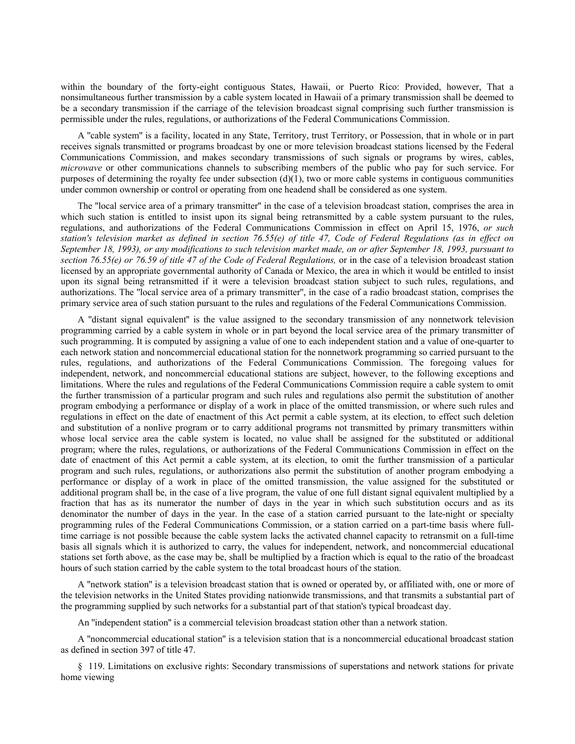within the boundary of the forty-eight contiguous States, Hawaii, or Puerto Rico: Provided, however, That a nonsimultaneous further transmission by a cable system located in Hawaii of a primary transmission shall be deemed to be a secondary transmission if the carriage of the television broadcast signal comprising such further transmission is permissible under the rules, regulations, or authorizations of the Federal Communications Commission.

A ''cable system'' is a facility, located in any State, Territory, trust Territory, or Possession, that in whole or in part receives signals transmitted or programs broadcast by one or more television broadcast stations licensed by the Federal Communications Commission, and makes secondary transmissions of such signals or programs by wires, cables, *microwave* or other communications channels to subscribing members of the public who pay for such service. For purposes of determining the royalty fee under subsection  $(d)(1)$ , two or more cable systems in contiguous communities under common ownership or control or operating from one headend shall be considered as one system.

The ''local service area of a primary transmitter'' in the case of a television broadcast station, comprises the area in which such station is entitled to insist upon its signal being retransmitted by a cable system pursuant to the rules, regulations, and authorizations of the Federal Communications Commission in effect on April 15, 1976, *or such station's television market as defined in section 76.55(e) of title 47, Code of Federal Regulations (as in effect on September 18, 1993), or any modifications to such television market made, on or after September 18, 1993, pursuant to section 76.55(e) or 76.59 of title 47 of the Code of Federal Regulations,* or in the case of a television broadcast station licensed by an appropriate governmental authority of Canada or Mexico, the area in which it would be entitled to insist upon its signal being retransmitted if it were a television broadcast station subject to such rules, regulations, and authorizations. The ''local service area of a primary transmitter'', in the case of a radio broadcast station, comprises the primary service area of such station pursuant to the rules and regulations of the Federal Communications Commission.

A ''distant signal equivalent'' is the value assigned to the secondary transmission of any nonnetwork television programming carried by a cable system in whole or in part beyond the local service area of the primary transmitter of such programming. It is computed by assigning a value of one to each independent station and a value of one-quarter to each network station and noncommercial educational station for the nonnetwork programming so carried pursuant to the rules, regulations, and authorizations of the Federal Communications Commission. The foregoing values for independent, network, and noncommercial educational stations are subject, however, to the following exceptions and limitations. Where the rules and regulations of the Federal Communications Commission require a cable system to omit the further transmission of a particular program and such rules and regulations also permit the substitution of another program embodying a performance or display of a work in place of the omitted transmission, or where such rules and regulations in effect on the date of enactment of this Act permit a cable system, at its election, to effect such deletion and substitution of a nonlive program or to carry additional programs not transmitted by primary transmitters within whose local service area the cable system is located, no value shall be assigned for the substituted or additional program; where the rules, regulations, or authorizations of the Federal Communications Commission in effect on the date of enactment of this Act permit a cable system, at its election, to omit the further transmission of a particular program and such rules, regulations, or authorizations also permit the substitution of another program embodying a performance or display of a work in place of the omitted transmission, the value assigned for the substituted or additional program shall be, in the case of a live program, the value of one full distant signal equivalent multiplied by a fraction that has as its numerator the number of days in the year in which such substitution occurs and as its denominator the number of days in the year. In the case of a station carried pursuant to the late-night or specialty programming rules of the Federal Communications Commission, or a station carried on a part-time basis where fulltime carriage is not possible because the cable system lacks the activated channel capacity to retransmit on a full-time basis all signals which it is authorized to carry, the values for independent, network, and noncommercial educational stations set forth above, as the case may be, shall be multiplied by a fraction which is equal to the ratio of the broadcast hours of such station carried by the cable system to the total broadcast hours of the station.

A ''network station'' is a television broadcast station that is owned or operated by, or affiliated with, one or more of the television networks in the United States providing nationwide transmissions, and that transmits a substantial part of the programming supplied by such networks for a substantial part of that station's typical broadcast day.

An ''independent station'' is a commercial television broadcast station other than a network station.

A ''noncommercial educational station'' is a television station that is a noncommercial educational broadcast station as defined in section 397 of title 47.

§ 119. Limitations on exclusive rights: Secondary transmissions of superstations and network stations for private home viewing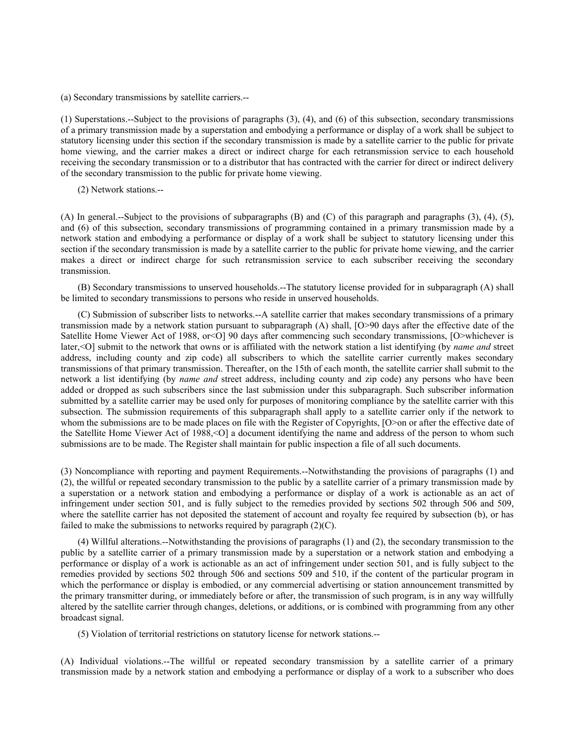(a) Secondary transmissions by satellite carriers.--

(1) Superstations.--Subject to the provisions of paragraphs (3), (4), and (6) of this subsection, secondary transmissions of a primary transmission made by a superstation and embodying a performance or display of a work shall be subject to statutory licensing under this section if the secondary transmission is made by a satellite carrier to the public for private home viewing, and the carrier makes a direct or indirect charge for each retransmission service to each household receiving the secondary transmission or to a distributor that has contracted with the carrier for direct or indirect delivery of the secondary transmission to the public for private home viewing.

(2) Network stations.--

(A) In general.--Subject to the provisions of subparagraphs (B) and (C) of this paragraph and paragraphs (3), (4), (5), and (6) of this subsection, secondary transmissions of programming contained in a primary transmission made by a network station and embodying a performance or display of a work shall be subject to statutory licensing under this section if the secondary transmission is made by a satellite carrier to the public for private home viewing, and the carrier makes a direct or indirect charge for such retransmission service to each subscriber receiving the secondary transmission.

(B) Secondary transmissions to unserved households.--The statutory license provided for in subparagraph (A) shall be limited to secondary transmissions to persons who reside in unserved households.

(C) Submission of subscriber lists to networks.--A satellite carrier that makes secondary transmissions of a primary transmission made by a network station pursuant to subparagraph (A) shall, [O>90 days after the effective date of the Satellite Home Viewer Act of 1988, or<O] 90 days after commencing such secondary transmissions, [O>whichever is later,<O] submit to the network that owns or is affiliated with the network station a list identifying (by *name and* street address, including county and zip code) all subscribers to which the satellite carrier currently makes secondary transmissions of that primary transmission. Thereafter, on the 15th of each month, the satellite carrier shall submit to the network a list identifying (by *name and* street address, including county and zip code) any persons who have been added or dropped as such subscribers since the last submission under this subparagraph. Such subscriber information submitted by a satellite carrier may be used only for purposes of monitoring compliance by the satellite carrier with this subsection. The submission requirements of this subparagraph shall apply to a satellite carrier only if the network to whom the submissions are to be made places on file with the Register of Copyrights, [O>on or after the effective date of the Satellite Home Viewer Act of 1988,<O] a document identifying the name and address of the person to whom such submissions are to be made. The Register shall maintain for public inspection a file of all such documents.

(3) Noncompliance with reporting and payment Requirements.--Notwithstanding the provisions of paragraphs (1) and (2), the willful or repeated secondary transmission to the public by a satellite carrier of a primary transmission made by a superstation or a network station and embodying a performance or display of a work is actionable as an act of infringement under section 501, and is fully subject to the remedies provided by sections 502 through 506 and 509, where the satellite carrier has not deposited the statement of account and royalty fee required by subsection (b), or has failed to make the submissions to networks required by paragraph  $(2)(C)$ .

(4) Willful alterations.--Notwithstanding the provisions of paragraphs (1) and (2), the secondary transmission to the public by a satellite carrier of a primary transmission made by a superstation or a network station and embodying a performance or display of a work is actionable as an act of infringement under section 501, and is fully subject to the remedies provided by sections 502 through 506 and sections 509 and 510, if the content of the particular program in which the performance or display is embodied, or any commercial advertising or station announcement transmitted by the primary transmitter during, or immediately before or after, the transmission of such program, is in any way willfully altered by the satellite carrier through changes, deletions, or additions, or is combined with programming from any other broadcast signal.

(5) Violation of territorial restrictions on statutory license for network stations.--

(A) Individual violations.--The willful or repeated secondary transmission by a satellite carrier of a primary transmission made by a network station and embodying a performance or display of a work to a subscriber who does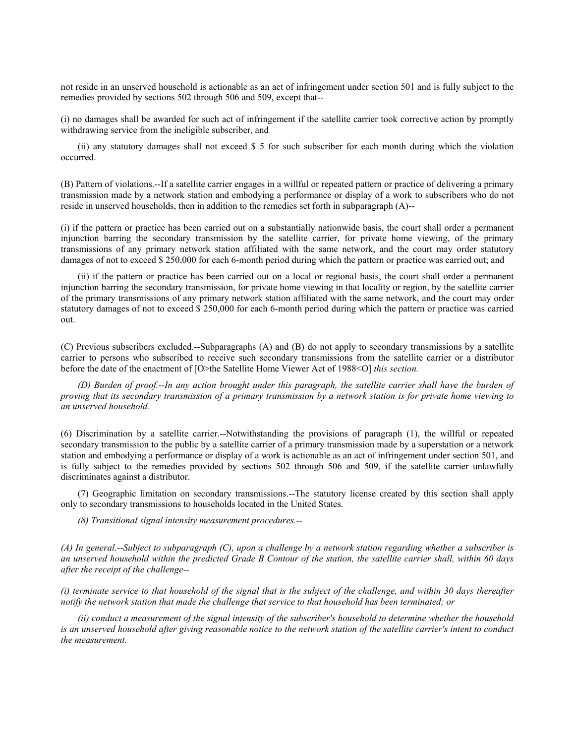not reside in an unserved household is actionable as an act of infringement under section 501 and is fully subject to the remedies provided by sections 502 through 506 and 509, except that--

(i) no damages shall be awarded for such act of infringement if the satellite carrier took corrective action by promptly withdrawing service from the ineligible subscriber, and

(ii) any statutory damages shall not exceed \$ 5 for such subscriber for each month during which the violation occurred.

(B) Pattern of violations.--If a satellite carrier engages in a willful or repeated pattern or practice of delivering a primary transmission made by a network station and embodying a performance or display of a work to subscribers who do not reside in unserved households, then in addition to the remedies set forth in subparagraph (A)--

(i) if the pattern or practice has been carried out on a substantially nationwide basis, the court shall order a permanent injunction barring the secondary transmission by the satellite carrier, for private home viewing, of the primary transmissions of any primary network station affiliated with the same network, and the court may order statutory damages of not to exceed \$ 250,000 for each 6-month period during which the pattern or practice was carried out; and

(ii) if the pattern or practice has been carried out on a local or regional basis, the court shall order a permanent injunction barring the secondary transmission, for private home viewing in that locality or region, by the satellite carrier of the primary transmissions of any primary network station affiliated with the same network, and the court may order statutory damages of not to exceed \$ 250,000 for each 6-month period during which the pattern or practice was carried out.

(C) Previous subscribers excluded.--Subparagraphs (A) and (B) do not apply to secondary transmissions by a satellite carrier to persons who subscribed to receive such secondary transmissions from the satellite carrier or a distributor before the date of the enactment of [O>the Satellite Home Viewer Act of 1988<O] *this section.*

*(D) Burden of proof.--In any action brought under this paragraph, the satellite carrier shall have the burden of proving that its secondary transmission of a primary transmission by a network station is for private home viewing to an unserved household.*

(6) Discrimination by a satellite carrier.--Notwithstanding the provisions of paragraph (1), the willful or repeated secondary transmission to the public by a satellite carrier of a primary transmission made by a superstation or a network station and embodying a performance or display of a work is actionable as an act of infringement under section 501, and is fully subject to the remedies provided by sections 502 through 506 and 509, if the satellite carrier unlawfully discriminates against a distributor.

(7) Geographic limitation on secondary transmissions.--The statutory license created by this section shall apply only to secondary transmissions to households located in the United States.

*(8) Transitional signal intensity measurement procedures.--*

*(A) In general.--Subject to subparagraph (C), upon a challenge by a network station regarding whether a subscriber is an unserved household within the predicted Grade B Contour of the station, the satellite carrier shall, within 60 days after the receipt of the challenge--*

*(i) terminate service to that household of the signal that is the subject of the challenge, and within 30 days thereafter notify the network station that made the challenge that service to that household has been terminated; or*

*(ii) conduct a measurement of the signal intensity of the subscriber's household to determine whether the household is an unserved household after giving reasonable notice to the network station of the satellite carrier's intent to conduct the measurement.*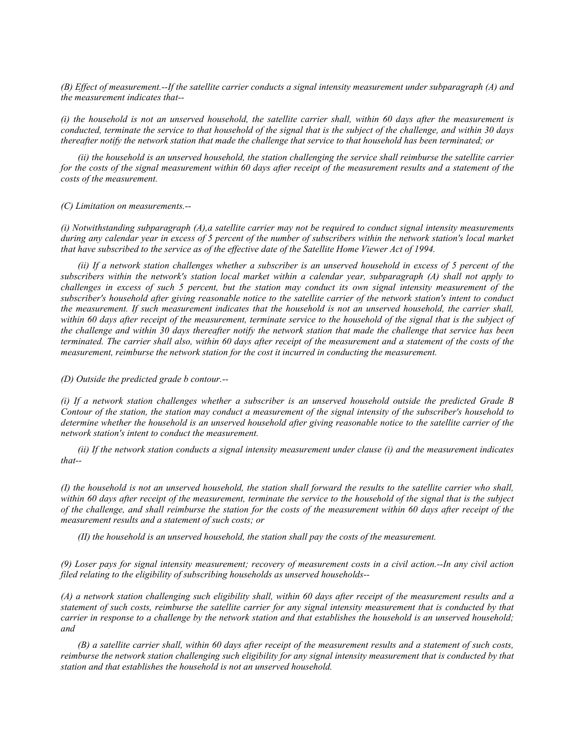*(B) Effect of measurement.--If the satellite carrier conducts a signal intensity measurement under subparagraph (A) and the measurement indicates that--*

*(i) the household is not an unserved household, the satellite carrier shall, within 60 days after the measurement is conducted, terminate the service to that household of the signal that is the subject of the challenge, and within 30 days thereafter notify the network station that made the challenge that service to that household has been terminated; or*

*(ii) the household is an unserved household, the station challenging the service shall reimburse the satellite carrier for the costs of the signal measurement within 60 days after receipt of the measurement results and a statement of the costs of the measurement.*

*(C) Limitation on measurements.--*

*(i) Notwithstanding subparagraph (A),a satellite carrier may not be required to conduct signal intensity measurements during any calendar year in excess of 5 percent of the number of subscribers within the network station's local market that have subscribed to the service as of the effective date of the Satellite Home Viewer Act of 1994.*

*(ii) If a network station challenges whether a subscriber is an unserved household in excess of 5 percent of the subscribers within the network's station local market within a calendar year, subparagraph (A) shall not apply to challenges in excess of such 5 percent, but the station may conduct its own signal intensity measurement of the subscriber's household after giving reasonable notice to the satellite carrier of the network station's intent to conduct the measurement. If such measurement indicates that the household is not an unserved household, the carrier shall,*  within 60 days after receipt of the measurement, terminate service to the household of the signal that is the subject of *the challenge and within 30 days thereafter notify the network station that made the challenge that service has been terminated. The carrier shall also, within 60 days after receipt of the measurement and a statement of the costs of the measurement, reimburse the network station for the cost it incurred in conducting the measurement.*

*(D) Outside the predicted grade b contour.--*

*(i) If a network station challenges whether a subscriber is an unserved household outside the predicted Grade B Contour of the station, the station may conduct a measurement of the signal intensity of the subscriber's household to determine whether the household is an unserved household after giving reasonable notice to the satellite carrier of the network station's intent to conduct the measurement.*

*(ii) If the network station conducts a signal intensity measurement under clause (i) and the measurement indicates that--*

*(I) the household is not an unserved household, the station shall forward the results to the satellite carrier who shall, within 60 days after receipt of the measurement, terminate the service to the household of the signal that is the subject of the challenge, and shall reimburse the station for the costs of the measurement within 60 days after receipt of the measurement results and a statement of such costs; or*

*(II) the household is an unserved household, the station shall pay the costs of the measurement.*

*(9) Loser pays for signal intensity measurement; recovery of measurement costs in a civil action.--In any civil action filed relating to the eligibility of subscribing households as unserved households--*

*(A) a network station challenging such eligibility shall, within 60 days after receipt of the measurement results and a statement of such costs, reimburse the satellite carrier for any signal intensity measurement that is conducted by that carrier in response to a challenge by the network station and that establishes the household is an unserved household; and*

*(B) a satellite carrier shall, within 60 days after receipt of the measurement results and a statement of such costs, reimburse the network station challenging such eligibility for any signal intensity measurement that is conducted by that station and that establishes the household is not an unserved household.*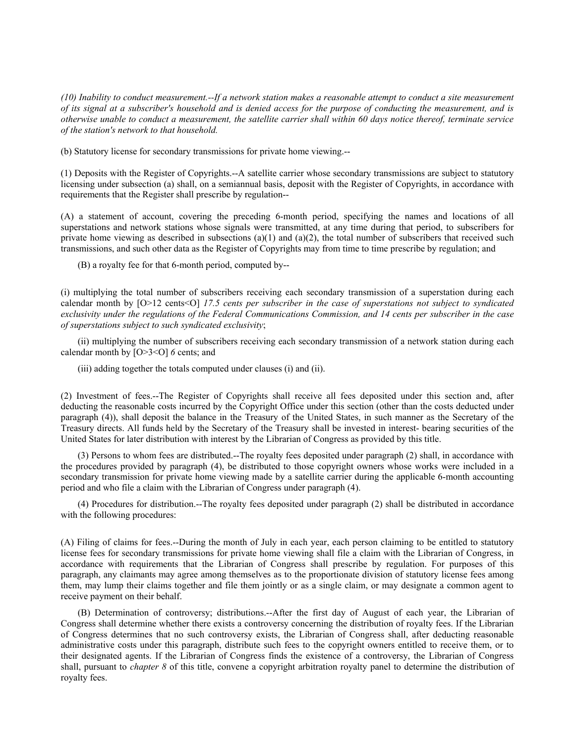*(10) Inability to conduct measurement.--If a network station makes a reasonable attempt to conduct a site measurement of its signal at a subscriber's household and is denied access for the purpose of conducting the measurement, and is otherwise unable to conduct a measurement, the satellite carrier shall within 60 days notice thereof, terminate service of the station's network to that household.*

(b) Statutory license for secondary transmissions for private home viewing.--

(1) Deposits with the Register of Copyrights.--A satellite carrier whose secondary transmissions are subject to statutory licensing under subsection (a) shall, on a semiannual basis, deposit with the Register of Copyrights, in accordance with requirements that the Register shall prescribe by regulation--

(A) a statement of account, covering the preceding 6-month period, specifying the names and locations of all superstations and network stations whose signals were transmitted, at any time during that period, to subscribers for private home viewing as described in subsections (a)(1) and (a)(2), the total number of subscribers that received such transmissions, and such other data as the Register of Copyrights may from time to time prescribe by regulation; and

(B) a royalty fee for that 6-month period, computed by--

(i) multiplying the total number of subscribers receiving each secondary transmission of a superstation during each calendar month by [O>12 cents<O] *17.5 cents per subscriber in the case of superstations not subject to syndicated exclusivity under the regulations of the Federal Communications Commission, and 14 cents per subscriber in the case of superstations subject to such syndicated exclusivity*;

(ii) multiplying the number of subscribers receiving each secondary transmission of a network station during each calendar month by [O>3<O] *6* cents; and

(iii) adding together the totals computed under clauses (i) and (ii).

(2) Investment of fees.--The Register of Copyrights shall receive all fees deposited under this section and, after deducting the reasonable costs incurred by the Copyright Office under this section (other than the costs deducted under paragraph (4)), shall deposit the balance in the Treasury of the United States, in such manner as the Secretary of the Treasury directs. All funds held by the Secretary of the Treasury shall be invested in interest- bearing securities of the United States for later distribution with interest by the Librarian of Congress as provided by this title.

(3) Persons to whom fees are distributed.--The royalty fees deposited under paragraph (2) shall, in accordance with the procedures provided by paragraph (4), be distributed to those copyright owners whose works were included in a secondary transmission for private home viewing made by a satellite carrier during the applicable 6-month accounting period and who file a claim with the Librarian of Congress under paragraph (4).

(4) Procedures for distribution.--The royalty fees deposited under paragraph (2) shall be distributed in accordance with the following procedures:

(A) Filing of claims for fees.--During the month of July in each year, each person claiming to be entitled to statutory license fees for secondary transmissions for private home viewing shall file a claim with the Librarian of Congress, in accordance with requirements that the Librarian of Congress shall prescribe by regulation. For purposes of this paragraph, any claimants may agree among themselves as to the proportionate division of statutory license fees among them, may lump their claims together and file them jointly or as a single claim, or may designate a common agent to receive payment on their behalf.

(B) Determination of controversy; distributions.--After the first day of August of each year, the Librarian of Congress shall determine whether there exists a controversy concerning the distribution of royalty fees. If the Librarian of Congress determines that no such controversy exists, the Librarian of Congress shall, after deducting reasonable administrative costs under this paragraph, distribute such fees to the copyright owners entitled to receive them, or to their designated agents. If the Librarian of Congress finds the existence of a controversy, the Librarian of Congress shall, pursuant to *chapter 8* of this title, convene a copyright arbitration royalty panel to determine the distribution of royalty fees.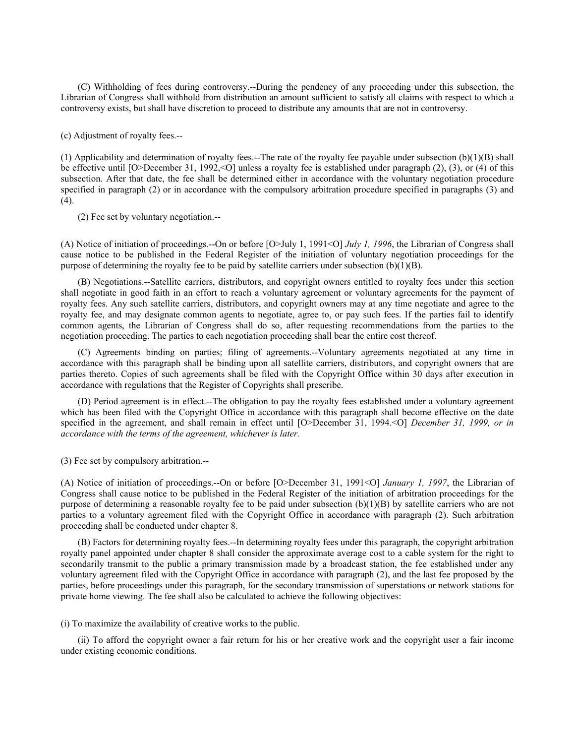(C) Withholding of fees during controversy.--During the pendency of any proceeding under this subsection, the Librarian of Congress shall withhold from distribution an amount sufficient to satisfy all claims with respect to which a controversy exists, but shall have discretion to proceed to distribute any amounts that are not in controversy.

(c) Adjustment of royalty fees.--

(1) Applicability and determination of royalty fees.--The rate of the royalty fee payable under subsection (b)(1)(B) shall be effective until  $[O> December 31, 1992, < O]$  unless a royalty fee is established under paragraph (2), (3), or (4) of this subsection. After that date, the fee shall be determined either in accordance with the voluntary negotiation procedure specified in paragraph (2) or in accordance with the compulsory arbitration procedure specified in paragraphs (3) and (4).

(2) Fee set by voluntary negotiation.--

(A) Notice of initiation of proceedings.--On or before [O>July 1, 1991<O] *July 1, 1996*, the Librarian of Congress shall cause notice to be published in the Federal Register of the initiation of voluntary negotiation proceedings for the purpose of determining the royalty fee to be paid by satellite carriers under subsection  $(b)(1)(B)$ .

(B) Negotiations.--Satellite carriers, distributors, and copyright owners entitled to royalty fees under this section shall negotiate in good faith in an effort to reach a voluntary agreement or voluntary agreements for the payment of royalty fees. Any such satellite carriers, distributors, and copyright owners may at any time negotiate and agree to the royalty fee, and may designate common agents to negotiate, agree to, or pay such fees. If the parties fail to identify common agents, the Librarian of Congress shall do so, after requesting recommendations from the parties to the negotiation proceeding. The parties to each negotiation proceeding shall bear the entire cost thereof.

(C) Agreements binding on parties; filing of agreements.--Voluntary agreements negotiated at any time in accordance with this paragraph shall be binding upon all satellite carriers, distributors, and copyright owners that are parties thereto. Copies of such agreements shall be filed with the Copyright Office within 30 days after execution in accordance with regulations that the Register of Copyrights shall prescribe.

(D) Period agreement is in effect.--The obligation to pay the royalty fees established under a voluntary agreement which has been filed with the Copyright Office in accordance with this paragraph shall become effective on the date specified in the agreement, and shall remain in effect until [O>December 31, 1994.<O] *December 31, 1999, or in accordance with the terms of the agreement, whichever is later.*

(3) Fee set by compulsory arbitration.--

(A) Notice of initiation of proceedings.--On or before [O>December 31, 1991<O] *January 1, 1997*, the Librarian of Congress shall cause notice to be published in the Federal Register of the initiation of arbitration proceedings for the purpose of determining a reasonable royalty fee to be paid under subsection (b)(1)(B) by satellite carriers who are not parties to a voluntary agreement filed with the Copyright Office in accordance with paragraph (2). Such arbitration proceeding shall be conducted under chapter 8.

(B) Factors for determining royalty fees.--In determining royalty fees under this paragraph, the copyright arbitration royalty panel appointed under chapter 8 shall consider the approximate average cost to a cable system for the right to secondarily transmit to the public a primary transmission made by a broadcast station, the fee established under any voluntary agreement filed with the Copyright Office in accordance with paragraph (2), and the last fee proposed by the parties, before proceedings under this paragraph, for the secondary transmission of superstations or network stations for private home viewing. The fee shall also be calculated to achieve the following objectives:

(i) To maximize the availability of creative works to the public.

(ii) To afford the copyright owner a fair return for his or her creative work and the copyright user a fair income under existing economic conditions.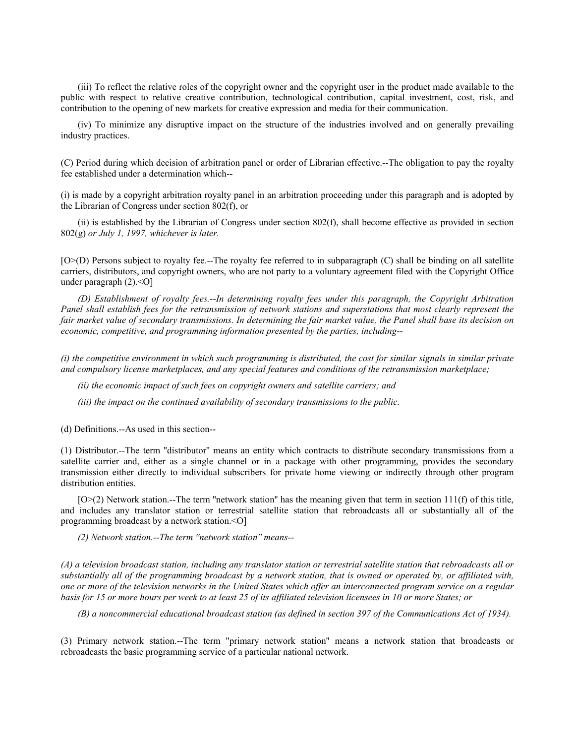(iii) To reflect the relative roles of the copyright owner and the copyright user in the product made available to the public with respect to relative creative contribution, technological contribution, capital investment, cost, risk, and contribution to the opening of new markets for creative expression and media for their communication.

(iv) To minimize any disruptive impact on the structure of the industries involved and on generally prevailing industry practices.

(C) Period during which decision of arbitration panel or order of Librarian effective.--The obligation to pay the royalty fee established under a determination which--

(i) is made by a copyright arbitration royalty panel in an arbitration proceeding under this paragraph and is adopted by the Librarian of Congress under section 802(f), or

(ii) is established by the Librarian of Congress under section 802(f), shall become effective as provided in section 802(g) *or July 1, 1997, whichever is later.*

[O>(D) Persons subject to royalty fee.--The royalty fee referred to in subparagraph (C) shall be binding on all satellite carriers, distributors, and copyright owners, who are not party to a voluntary agreement filed with the Copyright Office under paragraph (2).<O]

*(D) Establishment of royalty fees.--In determining royalty fees under this paragraph, the Copyright Arbitration Panel shall establish fees for the retransmission of network stations and superstations that most clearly represent the fair market value of secondary transmissions. In determining the fair market value, the Panel shall base its decision on economic, competitive, and programming information presented by the parties, including--*

*(i) the competitive environment in which such programming is distributed, the cost for similar signals in similar private and compulsory license marketplaces, and any special features and conditions of the retransmission marketplace;*

*(ii) the economic impact of such fees on copyright owners and satellite carriers; and*

*(iii) the impact on the continued availability of secondary transmissions to the public.*

(d) Definitions.--As used in this section--

(1) Distributor.--The term ''distributor'' means an entity which contracts to distribute secondary transmissions from a satellite carrier and, either as a single channel or in a package with other programming, provides the secondary transmission either directly to individual subscribers for private home viewing or indirectly through other program distribution entities.

 $[O>(2)]$  Network station.--The term "network station" has the meaning given that term in section 111(f) of this title, and includes any translator station or terrestrial satellite station that rebroadcasts all or substantially all of the programming broadcast by a network station.<O]

*(2) Network station.--The term ''network station'' means--*

*(A) a television broadcast station, including any translator station or terrestrial satellite station that rebroadcasts all or substantially all of the programming broadcast by a network station, that is owned or operated by, or affiliated with, one or more of the television networks in the United States which offer an interconnected program service on a regular basis for 15 or more hours per week to at least 25 of its affiliated television licensees in 10 or more States; or*

*(B) a noncommercial educational broadcast station (as defined in section 397 of the Communications Act of 1934).*

(3) Primary network station.--The term ''primary network station'' means a network station that broadcasts or rebroadcasts the basic programming service of a particular national network.